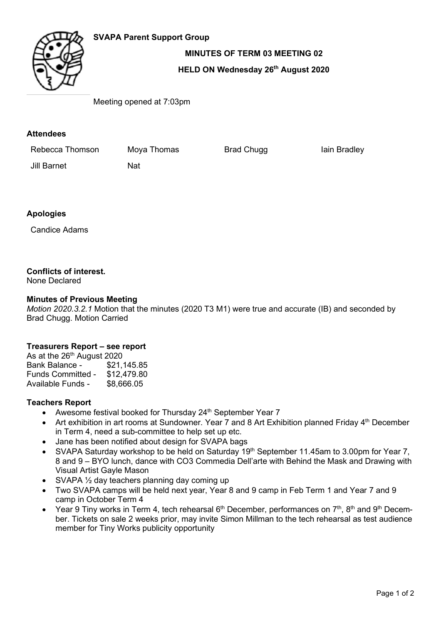# **SVAPA Parent Support Group**



**MINUTES OF TERM 03 MEETING 02**

# **HELD ON Wednesday 26th August 2020**

Meeting opened at 7:03pm

### **Attendees**

Rebecca Thomson Moya Thomas Brad Chugg Brad Chuga Iain Bradley

Jill Barnet Nat

# **Apologies**

Candice Adams

### **Conflicts of interest.**

None Declared

#### **Minutes of Previous Meeting**

*Motion 2020.3.2.1* Motion that the minutes (2020 T3 M1) were true and accurate (IB) and seconded by Brad Chugg. Motion Carried

### **Treasurers Report – see report**

As at the  $26^{th}$  August 2020<br>Bank Balance - \$21,145.85 Bank Balance -Funds Committed - \$12,479.80<br>Available Funds - \$8,666.05 Available Funds -

#### **Teachers Report**

- Awesome festival booked for Thursday  $24<sup>th</sup>$  September Year 7
- Art exhibition in art rooms at Sundowner. Year 7 and 8 Art Exhibition planned Friday 4<sup>th</sup> December in Term 4, need a sub-committee to help set up etc.
- Jane has been notified about design for SVAPA bags
- SVAPA Saturday workshop to be held on Saturday 19<sup>th</sup> September 11.45am to 3.00pm for Year 7, 8 and 9 – BYO lunch, dance with CO3 Commedia Dell'arte with Behind the Mask and Drawing with Visual Artist Gayle Mason
- SVAPA 1/2 day teachers planning day coming up
- Two SVAPA camps will be held next year, Year 8 and 9 camp in Feb Term 1 and Year 7 and 9 camp in October Term 4
- Year 9 Tiny works in Term 4, tech rehearsal  $6<sup>th</sup>$  December, performances on  $7<sup>th</sup>$ ,  $8<sup>th</sup>$  and  $9<sup>th</sup>$  December. Tickets on sale 2 weeks prior, may invite Simon Millman to the tech rehearsal as test audience member for Tiny Works publicity opportunity